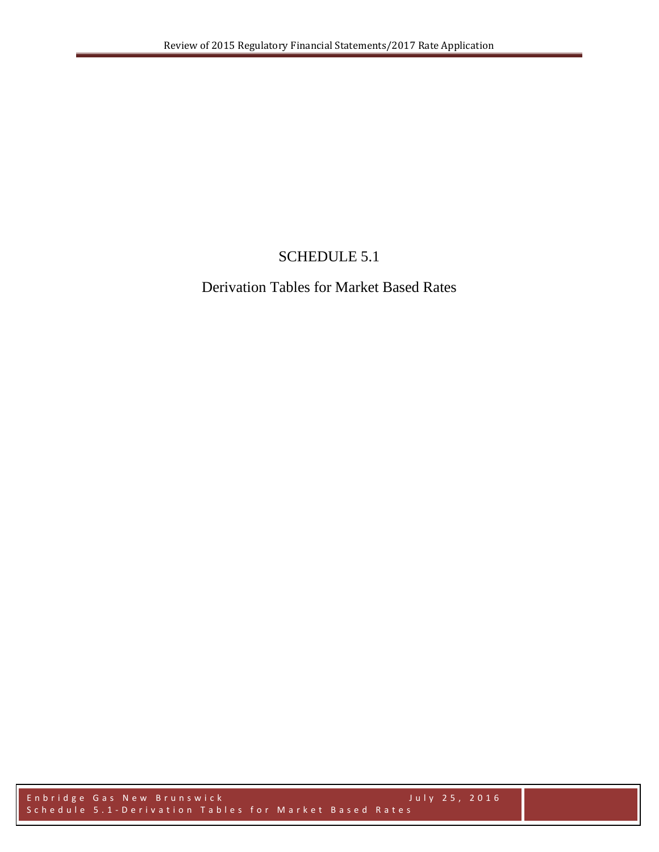## SCHEDULE 5.1

## Derivation Tables for Market Based Rates